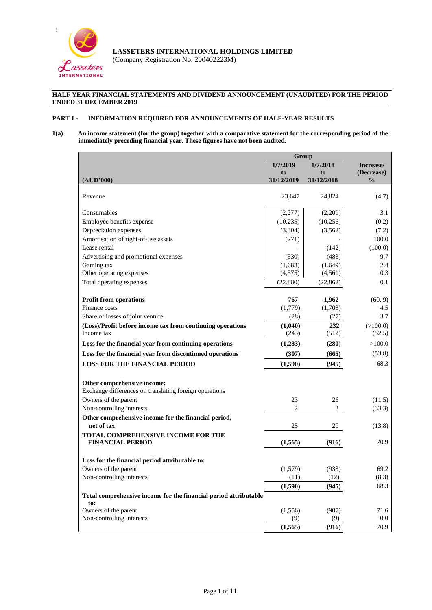

(Company Registration No. 200402223M)

# **HALF YEAR FINANCIAL STATEMENTS AND DIVIDEND ANNOUNCEMENT (UNAUDITED) FOR THE PERIOD ENDED 31 DECEMBER 2019**

# **PART I - INFORMATION REQUIRED FOR ANNOUNCEMENTS OF HALF-YEAR RESULTS**

# **1(a) An income statement (for the group) together with a comparative statement for the corresponding period of the immediately preceding financial year. These figures have not been audited.**

|                                                                  | Group          |            |                 |
|------------------------------------------------------------------|----------------|------------|-----------------|
|                                                                  | 1/7/2019       | 1/7/2018   | Increase/       |
|                                                                  | t <sub>0</sub> | to         | (Decrease)      |
| (AUD'000)                                                        | 31/12/2019     | 31/12/2018 | $\frac{0}{0}$   |
| Revenue                                                          | 23,647         | 24,824     | (4.7)           |
| Consumables                                                      | (2,277)        | (2,209)    | 3.1             |
| Employee benefits expense                                        | (10,235)       | (10,256)   | (0.2)           |
| Depreciation expenses                                            | (3,304)        | (3, 562)   | (7.2)           |
| Amortisation of right-of-use assets                              | (271)          |            | 100.0           |
| Lease rental                                                     |                | (142)      | (100.0)         |
| Advertising and promotional expenses                             | (530)          | (483)      | 9.7             |
| Gaming tax                                                       | (1,688)        | (1,649)    | 2.4             |
| Other operating expenses                                         | (4,575)        | (4, 561)   | 0.3             |
| Total operating expenses                                         | (22, 880)      | (22, 862)  | 0.1             |
|                                                                  |                |            |                 |
| <b>Profit from operations</b>                                    | 767            | 1,962      | (60.9)          |
| Finance costs                                                    | (1,779)        | (1,703)    | 4.5             |
| Share of losses of joint venture                                 | (28)           | (27)       | 3.7             |
| (Loss)/Profit before income tax from continuing operations       | (1,040)        | 232        | (>100.0)        |
| Income tax                                                       | (243)          | (512)      | (52.5)          |
| Loss for the financial year from continuing operations           | (1,283)        | (280)      | >100.0          |
| Loss for the financial year from discontinued operations         | (307)          | (665)      | (53.8)          |
| <b>LOSS FOR THE FINANCIAL PERIOD</b>                             | (1,590)        | (945)      | 68.3            |
| Other comprehensive income:                                      |                |            |                 |
| Exchange differences on translating foreign operations           |                |            |                 |
| Owners of the parent                                             | 23             | 26         | (11.5)          |
| Non-controlling interests                                        | $\overline{2}$ | 3          | (33.3)          |
| Other comprehensive income for the financial period,             |                |            |                 |
| net of tax                                                       | 25             | 29         | (13.8)          |
| TOTAL COMPREHENSIVE INCOME FOR THE                               |                |            |                 |
| <b>FINANCIAL PERIOD</b>                                          | (1, 565)       | (916)      | 70.9            |
|                                                                  |                |            |                 |
| Loss for the financial period attributable to:                   |                |            |                 |
| Owners of the parent                                             | (1,579)        | (933)      | 69.2            |
| Non-controlling interests                                        | (11)           | (12)       | (8.3)           |
|                                                                  | (1,590)        | (945)      | 68.3            |
| Total comprehensive income for the financial period attributable |                |            |                 |
| to:                                                              | (1, 556)       | (907)      |                 |
| Owners of the parent<br>Non-controlling interests                | (9)            | (9)        | 71.6<br>$0.0\,$ |
|                                                                  | (1, 565)       | (916)      | 70.9            |
|                                                                  |                |            |                 |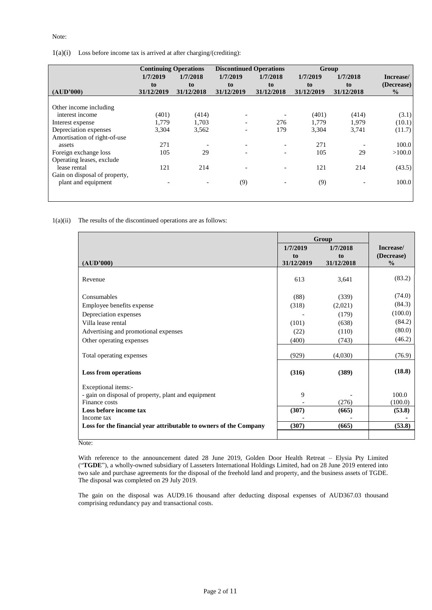| $1(a)(i)$ Loss before income tax is arrived at after charging/(crediting): |
|----------------------------------------------------------------------------|
|----------------------------------------------------------------------------|

|                                                      |                              | <b>Continuing Operations</b> | <b>Discontinued Operations</b> |                              | Group                        |                              |                                          |
|------------------------------------------------------|------------------------------|------------------------------|--------------------------------|------------------------------|------------------------------|------------------------------|------------------------------------------|
| (AUD'000)                                            | 1/7/2019<br>to<br>31/12/2019 | 1/7/2018<br>to<br>31/12/2018 | 1/7/2019<br>to<br>31/12/2019   | 1/7/2018<br>to<br>31/12/2018 | 1/7/2019<br>to<br>31/12/2019 | 1/7/2018<br>to<br>31/12/2018 | Increase/<br>(Decrease)<br>$\frac{0}{0}$ |
| Other income including                               |                              |                              |                                |                              |                              |                              |                                          |
| interest income                                      | (401)                        | (414)                        | $\overline{\phantom{a}}$       |                              | (401)                        | (414)                        | (3.1)                                    |
| Interest expense                                     | 1,779                        | 1,703                        |                                | 276                          | 1,779                        | 1,979                        | (10.1)                                   |
| Depreciation expenses                                | 3,304                        | 3,562                        |                                | 179                          | 3,304                        | 3,741                        | (11.7)                                   |
| Amortisation of right-of-use                         |                              |                              |                                |                              |                              |                              |                                          |
| assets                                               | 271                          |                              | $\overline{a}$                 |                              | 271                          |                              | 100.0                                    |
| Foreign exchange loss                                | 105                          | 29                           |                                |                              | 105                          | 29                           | >100.0                                   |
| Operating leases, exclude                            |                              |                              |                                |                              |                              |                              |                                          |
| lease rental                                         | 121                          | 214                          |                                |                              | 121                          | 214                          | (43.5)                                   |
| Gain on disposal of property,<br>plant and equipment |                              |                              | (9)                            |                              | (9)                          |                              | 100.0                                    |
|                                                      |                              |                              |                                |                              |                              |                              |                                          |

1(a)(ii) The results of the discontinued operations are as follows:

|                                                                   |                | Group          |                         |  |
|-------------------------------------------------------------------|----------------|----------------|-------------------------|--|
|                                                                   | 1/7/2019<br>to | 1/7/2018<br>to | Increase/<br>(Decrease) |  |
| (AUD'000)                                                         | 31/12/2019     | 31/12/2018     | $\frac{0}{0}$           |  |
| Revenue                                                           | 613            | 3,641          | (83.2)                  |  |
| Consumables                                                       | (88)           | (339)          | (74.0)                  |  |
| Employee benefits expense                                         | (318)          | (2,021)        | (84.3)                  |  |
| Depreciation expenses                                             |                | (179)          | (100.0)                 |  |
| Villa lease rental                                                | (101)          | (638)          | (84.2)                  |  |
| Advertising and promotional expenses                              | (22)           | (110)          | (80.0)                  |  |
| Other operating expenses                                          | (400)          | (743)          | (46.2)                  |  |
| Total operating expenses                                          | (929)          | (4,030)        | (76.9)                  |  |
| <b>Loss from operations</b>                                       | (316)          | (389)          | (18.8)                  |  |
| Exceptional items:-                                               |                |                |                         |  |
| - gain on disposal of property, plant and equipment               | 9              |                | 100.0                   |  |
| Finance costs                                                     |                | (276)          | (100.0)                 |  |
| Loss before income tax                                            | (307)          | (665)          | (53.8)                  |  |
| Income tax                                                        |                |                |                         |  |
| Loss for the financial year attributable to owners of the Company | (307)          | (665)          | (53.8)                  |  |
|                                                                   |                |                |                         |  |

Note:

With reference to the announcement dated 28 June 2019, Golden Door Health Retreat – Elysia Pty Limited ("**TGDE**"), a wholly-owned subsidiary of Lasseters International Holdings Limited, had on 28 June 2019 entered into two sale and purchase agreements for the disposal of the freehold land and property, and the business assets of TGDE. The disposal was completed on 29 July 2019.

The gain on the disposal was AUD9.16 thousand after deducting disposal expenses of AUD367.03 thousand comprising redundancy pay and transactional costs.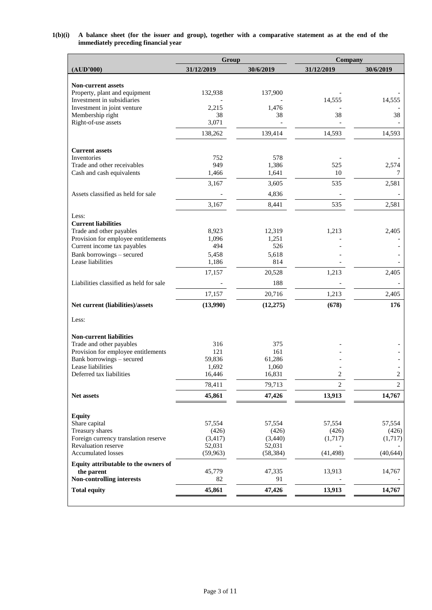|                                                                 | Group               |                     | Company        |                |  |  |
|-----------------------------------------------------------------|---------------------|---------------------|----------------|----------------|--|--|
| (AUD'000)                                                       | 31/12/2019          | 30/6/2019           | 31/12/2019     | 30/6/2019      |  |  |
|                                                                 |                     |                     |                |                |  |  |
| <b>Non-current assets</b><br>Property, plant and equipment      | 132,938             | 137,900             |                |                |  |  |
| Investment in subsidiaries                                      |                     |                     | 14,555         | 14,555         |  |  |
| Investment in joint venture                                     | 2,215               | 1,476               |                |                |  |  |
| Membership right                                                | 38                  | 38                  | 38             | 38             |  |  |
| Right-of-use assets                                             | 3,071               |                     |                |                |  |  |
|                                                                 | 138,262             | 139,414             | 14,593         | 14,593         |  |  |
| <b>Current assets</b>                                           |                     |                     |                |                |  |  |
| Inventories                                                     | 752                 | 578                 |                |                |  |  |
| Trade and other receivables                                     | 949                 | 1,386               | 525            | 2,574          |  |  |
| Cash and cash equivalents                                       | 1,466               | 1,641               | 10             | 7              |  |  |
|                                                                 | 3,167               | 3,605               | 535            | 2,581          |  |  |
| Assets classified as held for sale                              |                     | 4,836               |                |                |  |  |
|                                                                 | 3,167               | 8,441               | 535            | 2,581          |  |  |
| Less:                                                           |                     |                     |                |                |  |  |
| <b>Current liabilities</b>                                      |                     |                     |                |                |  |  |
| Trade and other payables<br>Provision for employee entitlements | 8,923<br>1,096      | 12,319<br>1,251     | 1,213          | 2,405          |  |  |
| Current income tax payables                                     | 494                 | 526                 |                |                |  |  |
| Bank borrowings - secured                                       | 5,458               | 5,618               |                |                |  |  |
| Lease liabilities                                               | 1,186               | 814                 |                |                |  |  |
|                                                                 | 17,157              | 20,528              | 1,213          | 2,405          |  |  |
| Liabilities classified as held for sale                         |                     | 188                 |                |                |  |  |
|                                                                 | 17,157              | 20,716              | 1,213          | 2,405          |  |  |
| Net current (liabilities)/assets                                | (13,990)            | (12, 275)           | (678)          | 176            |  |  |
| Less:                                                           |                     |                     |                |                |  |  |
| <b>Non-current liabilities</b>                                  |                     |                     |                |                |  |  |
| Trade and other payables                                        | 316                 | 375                 |                |                |  |  |
| Provision for employee entitlements                             | 121                 | 161                 |                |                |  |  |
| Bank borrowings - secured                                       | 59,836              | 61,286              |                |                |  |  |
| Lease liabilities<br>Deferred tax liabilities                   | 1,692<br>16,446     | 1,060<br>16.831     | $\mathcal{D}$  | $\overline{c}$ |  |  |
|                                                                 | 78,411              | 79,713              | $\overline{c}$ | $\overline{2}$ |  |  |
| Net assets                                                      | 45,861              | 47,426              | 13,913         | 14,767         |  |  |
|                                                                 |                     |                     |                |                |  |  |
| <b>Equity</b>                                                   |                     |                     |                |                |  |  |
| Share capital                                                   | 57,554              | 57,554              | 57,554         | 57,554         |  |  |
| Treasury shares                                                 | (426)               | (426)               | (426)          | (426)          |  |  |
| Foreign currency translation reserve                            | (3, 417)            | (3,440)             | (1,717)        | (1,717)        |  |  |
| Revaluation reserve<br>Accumulated losses                       | 52,031<br>(59, 963) | 52,031<br>(58, 384) | (41, 498)      | (40, 644)      |  |  |
| Equity attributable to the owners of                            |                     |                     |                |                |  |  |
| the parent                                                      | 45,779              | 47,335              | 13,913         | 14,767         |  |  |
| Non-controlling interests                                       | 82                  | 91                  |                |                |  |  |
| <b>Total equity</b>                                             | 45,861              | 47,426              | 13,913         | 14,767         |  |  |

# **1(b)(i) A balance sheet (for the issuer and group), together with a comparative statement as at the end of the immediately preceding financial year**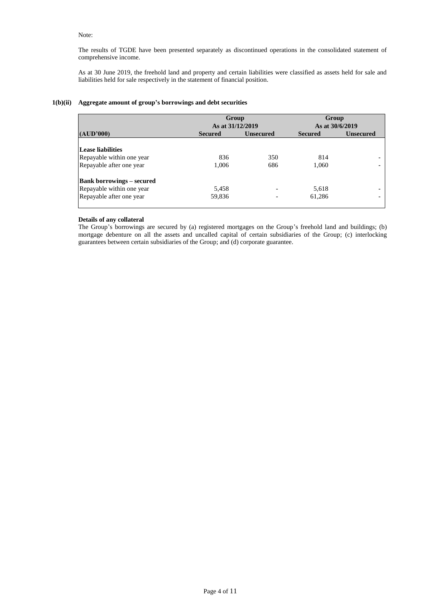# Note:

The results of TGDE have been presented separately as discontinued operations in the consolidated statement of comprehensive income.

As at 30 June 2019, the freehold land and property and certain liabilities were classified as assets held for sale and liabilities held for sale respectively in the statement of financial position.

# **1(b)(ii) Aggregate amount of group's borrowings and debt securities**

|                                  |                | Group<br>Group<br>As at 31/12/2019<br>As at 30/6/2019 |                |                  |
|----------------------------------|----------------|-------------------------------------------------------|----------------|------------------|
| (AUD'000)                        | <b>Secured</b> | <b>Unsecured</b>                                      | <b>Secured</b> | <b>Unsecured</b> |
| <b>Lease liabilities</b>         |                |                                                       |                |                  |
| Repayable within one year        | 836            | 350                                                   | 814            |                  |
| Repayable after one year         | 1,006          | 686                                                   | 1,060          |                  |
| <b>Bank borrowings – secured</b> |                |                                                       |                |                  |
| Repayable within one year        | 5,458          |                                                       | 5,618          |                  |
| Repayable after one year         | 59,836         |                                                       | 61,286         |                  |
|                                  |                |                                                       |                |                  |

# **Details of any collateral**

The Group's borrowings are secured by (a) registered mortgages on the Group's freehold land and buildings; (b) mortgage debenture on all the assets and uncalled capital of certain subsidiaries of the Group; (c) interlocking guarantees between certain subsidiaries of the Group; and (d) corporate guarantee.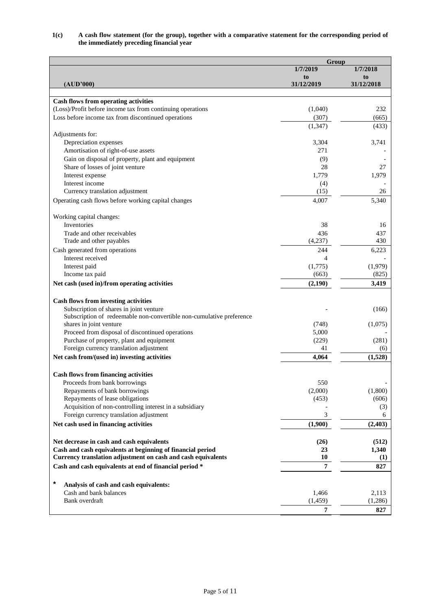|                                                                                                 | Group          |            |  |
|-------------------------------------------------------------------------------------------------|----------------|------------|--|
|                                                                                                 | 1/7/2019       | 1/7/2018   |  |
|                                                                                                 | to             | to         |  |
| (AUD'000)                                                                                       | 31/12/2019     | 31/12/2018 |  |
| <b>Cash flows from operating activities</b>                                                     |                |            |  |
| (Loss)/Profit before income tax from continuing operations                                      | (1,040)        | 232        |  |
| Loss before income tax from discontinued operations                                             | (307)          | (665)      |  |
|                                                                                                 | (1, 347)       | (433)      |  |
| Adjustments for:                                                                                |                |            |  |
| Depreciation expenses                                                                           | 3,304          | 3,741      |  |
| Amortisation of right-of-use assets                                                             | 271            |            |  |
| Gain on disposal of property, plant and equipment                                               | (9)            |            |  |
| Share of losses of joint venture                                                                | 28             | 27         |  |
| Interest expense                                                                                | 1,779          | 1,979      |  |
| Interest income                                                                                 | (4)            |            |  |
| Currency translation adjustment                                                                 | (15)           | 26         |  |
| Operating cash flows before working capital changes                                             | 4,007          | 5,340      |  |
|                                                                                                 |                |            |  |
| Working capital changes:<br>Inventories                                                         | 38             | 16         |  |
| Trade and other receivables                                                                     | 436            | 437        |  |
| Trade and other payables                                                                        | (4,237)        | 430        |  |
| Cash generated from operations                                                                  | 244            | 6,223      |  |
| Interest received                                                                               | $\overline{4}$ |            |  |
| Interest paid                                                                                   | (1,775)        | (1,979)    |  |
| Income tax paid                                                                                 | (663)          | (825)      |  |
| Net cash (used in)/from operating activities                                                    | (2,190)        | 3,419      |  |
|                                                                                                 |                |            |  |
| <b>Cash flows from investing activities</b>                                                     |                |            |  |
| Subscription of shares in joint venture                                                         |                | (166)      |  |
| Subscription of redeemable non-convertible non-cumulative preference<br>shares in joint venture | (748)          | (1,075)    |  |
| Proceed from disposal of discontinued operations                                                | 5,000          |            |  |
| Purchase of property, plant and equipment                                                       | (229)          | (281)      |  |
| Foreign currency translation adjustment                                                         | 41             | (6)        |  |
| Net cash from/(used in) investing activities                                                    | 4,064          | (1,528)    |  |
|                                                                                                 |                |            |  |
| <b>Cash flows from financing activities</b>                                                     |                |            |  |
| Proceeds from bank borrowings                                                                   | 550            |            |  |
| Repayments of bank borrowings                                                                   | (2,000)        | (1,800)    |  |
| Repayments of lease obligations                                                                 | (453)          | (606)      |  |
| Acquisition of non-controlling interest in a subsidiary                                         |                | (3)        |  |
| Foreign currency translation adjustment                                                         | 3              | 6          |  |
| Net cash used in financing activities                                                           | (1,900)        | (2,403)    |  |
| Net decrease in cash and cash equivalents                                                       | (26)           | (512)      |  |
| Cash and cash equivalents at beginning of financial period                                      | 23             | 1,340      |  |
| Currency translation adjustment on cash and cash equivalents                                    | 10             | (1)        |  |
| Cash and cash equivalents at end of financial period *                                          | 7              | 827        |  |
|                                                                                                 |                |            |  |
| $^\star$<br>Analysis of cash and cash equivalents:                                              |                |            |  |
| Cash and bank balances                                                                          | 1,466          | 2,113      |  |
| Bank overdraft                                                                                  | (1,459)        | (1,286)    |  |
|                                                                                                 | 7              | 827        |  |

# **1(c) A cash flow statement (for the group), together with a comparative statement for the corresponding period of the immediately preceding financial year**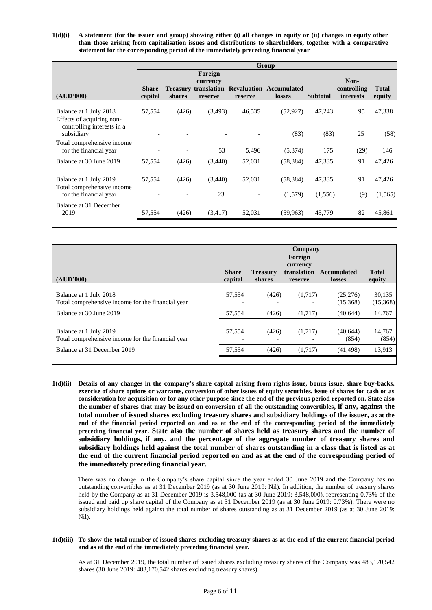**1(d)(i) A statement (for the issuer and group) showing either (i) all changes in equity or (ii) changes in equity other than those arising from capitalisation issues and distributions to shareholders, together with a comparative statement for the corresponding period of the immediately preceding financial year**

|                                                                                                 | Group                   |                           |                                |         |                                               |                   |                                         |                    |
|-------------------------------------------------------------------------------------------------|-------------------------|---------------------------|--------------------------------|---------|-----------------------------------------------|-------------------|-----------------------------------------|--------------------|
| (AUD'000)                                                                                       | <b>Share</b><br>capital | <b>Treasury</b><br>shares | Foreign<br>currency<br>reserve | reserve | translation Revaluation Accumulated<br>losses | <b>Subtotal</b>   | Non-<br>controlling<br><i>interests</i> | Total<br>equity    |
| Balance at 1 July 2018<br>Effects of acquiring non-<br>controlling interests in a<br>subsidiary | 57,554                  | (426)                     | (3,493)                        | 46,535  | (52, 927)<br>(83)                             | 47,243<br>(83)    | 95<br>25                                | 47,338<br>(58)     |
| Total comprehensive income<br>for the financial year                                            |                         |                           | 53                             | 5,496   | (5,374)                                       | 175               | (29)                                    | 146                |
| Balance at 30 June 2019                                                                         | 57,554                  | (426)                     | (3,440)                        | 52,031  | (58, 384)                                     | 47,335            | 91                                      | 47,426             |
| Balance at 1 July 2019<br>Total comprehensive income<br>for the financial year                  | 57,554                  | (426)                     | (3,440)<br>23                  | 52,031  | (58, 384)<br>(1,579)                          | 47,335<br>(1,556) | 91<br>(9)                               | 47,426<br>(1, 565) |
| Balance at 31 December<br>2019                                                                  | 57,554                  | (426)                     | (3,417)                        | 52,031  | (59, 963)                                     | 45,779            | 82                                      | 45,861             |

|                                                                                                            | Company                 |                           |                        |                                |                           |  |
|------------------------------------------------------------------------------------------------------------|-------------------------|---------------------------|------------------------|--------------------------------|---------------------------|--|
|                                                                                                            |                         |                           | Foreign<br>currency    |                                |                           |  |
| (AUD'000)                                                                                                  | <b>Share</b><br>capital | <b>Treasury</b><br>shares | translation<br>reserve | Accumulated<br><b>losses</b>   | <b>Total</b><br>equity    |  |
| Balance at 1 July 2018<br>Total comprehensive income for the financial year                                | 57.554                  | (426)                     | (1,717)                | (25,276)<br>(15,368)           | 30,135<br>(15,368)        |  |
| Balance at 30 June 2019                                                                                    | 57,554                  | (426)                     | (1,717)                | (40.644)                       | 14,767                    |  |
| Balance at 1 July 2019<br>Total comprehensive income for the financial year<br>Balance at 31 December 2019 | 57,554<br>57,554        | (426)<br>(426)            | (1,717)<br>(1,717)     | (40.644)<br>(854)<br>(41, 498) | 14,767<br>(854)<br>13,913 |  |

**1(d)(ii) Details of any changes in the company's share capital arising from rights issue, bonus issue, share buy-backs, exercise of share options or warrants, conversion of other issues of equity securities, issue of shares for cash or as consideration for acquisition or for any other purpose since the end of the previous period reported on. State also the number of shares that may be issued on conversion of all the outstanding convertibles, if any, against the total number of issued shares excluding treasury shares and subsidiary holdings of the issuer, as at the end of the financial period reported on and as at the end of the corresponding period of the immediately preceding financial year. State also the number of shares held as treasury shares and the number of subsidiary holdings, if any, and the percentage of the aggregate number of treasury shares and subsidiary holdings held against the total number of shares outstanding in a class that is listed as at the end of the current financial period reported on and as at the end of the corresponding period of the immediately preceding financial year.**

There was no change in the Company's share capital since the year ended 30 June 2019 and the Company has no outstanding convertibles as at 31 December 2019 (as at 30 June 2019: Nil). In addition, the number of treasury shares held by the Company as at 31 December 2019 is 3,548,000 (as at 30 June 2019: 3,548,000), representing 0.73% of the issued and paid up share capital of the Company as at 31 December 2019 (as at 30 June 2019: 0.73%). There were no subsidiary holdings held against the total number of shares outstanding as at 31 December 2019 (as at 30 June 2019: Nil).

### **1(d)(iii) To show the total number of issued shares excluding treasury shares as at the end of the current financial period and as at the end of the immediately preceding financial year.**

As at 31 December 2019, the total number of issued shares excluding treasury shares of the Company was 483,170,542 shares (30 June 2019: 483,170,542 shares excluding treasury shares).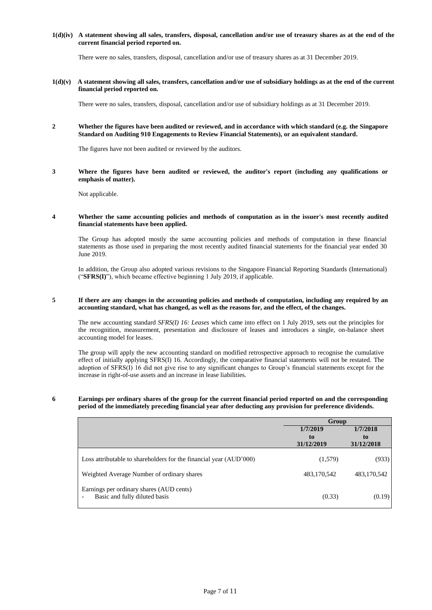**1(d)(iv) A statement showing all sales, transfers, disposal, cancellation and/or use of treasury shares as at the end of the current financial period reported on.**

There were no sales, transfers, disposal, cancellation and/or use of treasury shares as at 31 December 2019.

**1(d)(v) A statement showing all sales, transfers, cancellation and/or use of subsidiary holdings as at the end of the current financial period reported on.**

There were no sales, transfers, disposal, cancellation and/or use of subsidiary holdings as at 31 December 2019.

**2 Whether the figures have been audited or reviewed, and in accordance with which standard (e.g. the Singapore Standard on Auditing 910 Engagements to Review Financial Statements), or an equivalent standard.**

The figures have not been audited or reviewed by the auditors.

**3 Where the figures have been audited or reviewed, the auditor's report (including any qualifications or emphasis of matter).**

Not applicable.

### **4 Whether the same accounting policies and methods of computation as in the issuer's most recently audited financial statements have been applied.**

The Group has adopted mostly the same accounting policies and methods of computation in these financial statements as those used in preparing the most recently audited financial statements for the financial year ended 30 June 2019.

In addition, the Group also adopted various revisions to the Singapore Financial Reporting Standards (International) ("**SFRS(I)**"), which became effective beginning 1 July 2019, if applicable.

### **5 If there are any changes in the accounting policies and methods of computation, including any required by an accounting standard, what has changed, as well as the reasons for, and the effect, of the changes.**

The new accounting standard *SFRS(I) 16: Leases* which came into effect on 1 July 2019, sets out the principles for the recognition, measurement, presentation and disclosure of leases and introduces a single, on-balance sheet accounting model for leases.

The group will apply the new accounting standard on modified retrospective approach to recognise the cumulative effect of initially applying SFRS(I) 16. Accordingly, the comparative financial statements will not be restated. The adoption of SFRS(I) 16 did not give rise to any significant changes to Group's financial statements except for the increase in right-of-use assets and an increase in lease liabilities.

# **6 Earnings per ordinary shares of the group for the current financial period reported on and the corresponding period of the immediately preceding financial year after deducting any provision for preference dividends.**

|                                                                                             | Group       |             |  |
|---------------------------------------------------------------------------------------------|-------------|-------------|--|
|                                                                                             | 1/7/2019    | 1/7/2018    |  |
|                                                                                             | to          | to          |  |
|                                                                                             | 31/12/2019  | 31/12/2018  |  |
| Loss attributable to shareholders for the financial year (AUD'000)                          | (1,579)     | (933)       |  |
| Weighted Average Number of ordinary shares                                                  | 483,170,542 | 483,170,542 |  |
| Earnings per ordinary shares (AUD cents)<br>Basic and fully diluted basis<br>$\overline{a}$ | (0.33)      | (0.19)      |  |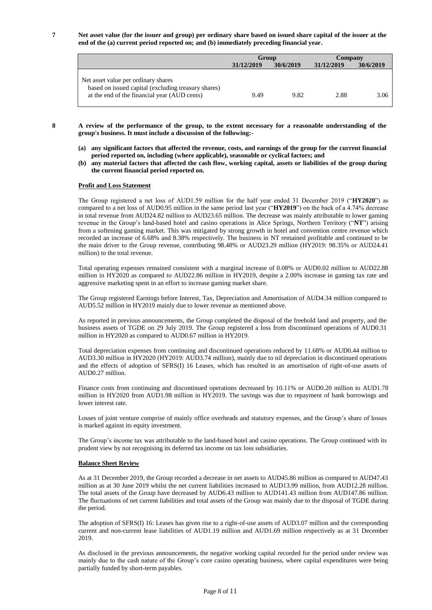**7 Net asset value (for the issuer and group) per ordinary share based on issued share capital of the issuer at the end of the (a) current period reported on; and (b) immediately preceding financial year.**

|                                                                                                                                            | Group      |           | Company    |           |
|--------------------------------------------------------------------------------------------------------------------------------------------|------------|-----------|------------|-----------|
|                                                                                                                                            | 31/12/2019 | 30/6/2019 | 31/12/2019 | 30/6/2019 |
| Net asset value per ordinary shares<br>based on issued capital (excluding treasury shares)<br>at the end of the financial year (AUD cents) | 9.49       | 9.82      | 2.88       | 3.06      |

- **8 A review of the performance of the group, to the extent necessary for a reasonable understanding of the group's business. It must include a discussion of the following:-**
	- **(a) any significant factors that affected the revenue, costs, and earnings of the group for the current financial period reported on, including (where applicable), seasonable or cyclical factors; and**
	- **(b) any material factors that affected the cash flow, working capital, assets or liabilities of the group during the current financial period reported on.**

# **Profit and Loss Statement**

The Group registered a net loss of AUD1.59 million for the half year ended 31 December 2019 ("**HY2020**") as compared to a net loss of AUD0.95 million in the same period last year ("**HY2019**") on the back of a 4.74% decrease in total revenue from AUD24.82 million to AUD23.65 million. The decrease was mainly attributable to lower gaming revenue in the Group's land-based hotel and casino operations in Alice Springs, Northern Territory ("**NT**") arising from a softening gaming market. This was mitigated by strong growth in hotel and convention centre revenue which recorded an increase of 6.68% and 8.38% respectively. The business in NT remained profitable and continued to be the main driver to the Group revenue, contributing 98.48% or AUD23.29 million (HY2019: 98.35% or AUD24.41 million) to the total revenue.

Total operating expenses remained consistent with a marginal increase of 0.08% or AUD0.02 million to AUD22.88 million in HY2020 as compared to AUD22.86 million in HY2019, despite a 2.00% increase in gaming tax rate and aggressive marketing spent in an effort to increase gaming market share.

The Group registered Earnings before Interest, Tax, Depreciation and Amortisation of AUD4.34 million compared to AUD5.52 million in HY2019 mainly due to lower revenue as mentioned above.

As reported in previous announcements, the Group completed the disposal of the freehold land and property, and the business assets of TGDE on 29 July 2019. The Group registered a loss from discontinued operations of AUD0.31 million in HY2020 as compared to AUD0.67 million in HY2019.

Total depreciation expenses from continuing and discontinued operations reduced by 11.68% or AUD0.44 million to AUD3.30 million in HY2020 (HY2019: AUD3.74 million), mainly due to nil depreciation in discontinued operations and the effects of adoption of SFRS(I) 16 Leases, which has resulted in an amortisation of right-of-use assets of AUD0.27 million.

Finance costs from continuing and discontinued operations decreased by 10.11% or AUD0.20 million to AUD1.78 million in HY2020 from AUD1.98 million in HY2019. The savings was due to repayment of bank borrowings and lower interest rate.

Losses of joint venture comprise of mainly office overheads and statutory expenses, and the Group's share of losses is marked against its equity investment.

The Group's income tax was attributable to the land-based hotel and casino operations. The Group continued with its prudent view by not recognising its deferred tax income on tax loss subsidiaries.

#### **Balance Sheet Review**

As at 31 December 2019, the Group recorded a decrease in net assets to AUD45.86 million as compared to AUD47.43 million as at 30 June 2019 whilst the net current liabilities increased to AUD13.99 million, from AUD12.28 million. The total assets of the Group have decreased by AUD6.43 million to AUD141.43 million from AUD147.86 million. The fluctuations of net current liabilities and total assets of the Group was mainly due to the disposal of TGDE during the period.

The adoption of SFRS(I) 16: Leases has given rise to a right-of-use assets of AUD3.07 million and the corresponding current and non-current lease liabilities of AUD1.19 million and AUD1.69 million respectively as at 31 December 2019.

As disclosed in the previous announcements, the negative working capital recorded for the period under review was mainly due to the cash nature of the Group's core casino operating business, where capital expenditures were being partially funded by short-term payables.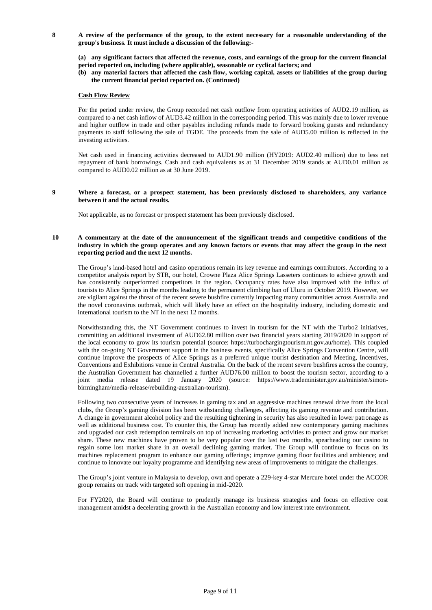**8 A review of the performance of the group, to the extent necessary for a reasonable understanding of the group's business. It must include a discussion of the following:-**

**(a) any significant factors that affected the revenue, costs, and earnings of the group for the current financial period reported on, including (where applicable), seasonable or cyclical factors; and**

**(b) any material factors that affected the cash flow, working capital, assets or liabilities of the group during the current financial period reported on. (Continued)**

### **Cash Flow Review**

For the period under review, the Group recorded net cash outflow from operating activities of AUD2.19 million, as compared to a net cash inflow of AUD3.42 million in the corresponding period. This was mainly due to lower revenue and higher outflow in trade and other payables including refunds made to forward booking guests and redundancy payments to staff following the sale of TGDE. The proceeds from the sale of AUD5.00 million is reflected in the investing activities.

Net cash used in financing activities decreased to AUD1.90 million (HY2019: AUD2.40 million) due to less net repayment of bank borrowings. Cash and cash equivalents as at 31 December 2019 stands at AUD0.01 million as compared to AUD0.02 million as at 30 June 2019.

#### **9 Where a forecast, or a prospect statement, has been previously disclosed to shareholders, any variance between it and the actual results.**

Not applicable, as no forecast or prospect statement has been previously disclosed.

# **10 A commentary at the date of the announcement of the significant trends and competitive conditions of the industry in which the group operates and any known factors or events that may affect the group in the next reporting period and the next 12 months.**

The Group's land-based hotel and casino operations remain its key revenue and earnings contributors. According to a competitor analysis report by STR, our hotel, Crowne Plaza Alice Springs Lasseters continues to achieve growth and has consistently outperformed competitors in the region. Occupancy rates have also improved with the influx of tourists to Alice Springs in the months leading to the permanent climbing ban of Uluru in October 2019. However, we are vigilant against the threat of the recent severe bushfire currently impacting many communities across Australia and the novel coronavirus outbreak, which will likely have an effect on the hospitality industry, including domestic and international tourism to the NT in the next 12 months.

Notwithstanding this, the NT Government continues to invest in tourism for the NT with the Turbo2 initiatives, committing an additional investment of AUD62.80 million over two financial years starting 2019/2020 in support of the local economy to grow its tourism potential (source: https://turbochargingtourism.nt.gov.au/home). This coupled with the on-going NT Government support in the business events, specifically Alice Springs Convention Centre, will continue improve the prospects of Alice Springs as a preferred unique tourist destination and Meeting, Incentives, Conventions and Exhibitions venue in Central Australia. On the back of the recent severe bushfires across the country, the Australian Government has channelled a further AUD76.00 million to boost the tourism sector, according to a joint media release dated 19 January 2020 (source: https://www.trademinister.gov.au/minister/simonbirmingham/media-release/rebuilding-australian-tourism).

Following two consecutive years of increases in gaming tax and an aggressive machines renewal drive from the local clubs, the Group's gaming division has been withstanding challenges, affecting its gaming revenue and contribution. A change in government alcohol policy and the resulting tightening in security has also resulted in lower patronage as well as additional business cost. To counter this, the Group has recently added new contemporary gaming machines and upgraded our cash redemption terminals on top of increasing marketing activities to protect and grow our market share. These new machines have proven to be very popular over the last two months, spearheading our casino to regain some lost market share in an overall declining gaming market. The Group will continue to focus on its machines replacement program to enhance our gaming offerings; improve gaming floor facilities and ambience; and continue to innovate our loyalty programme and identifying new areas of improvements to mitigate the challenges.

The Group's joint venture in Malaysia to develop, own and operate a 229-key 4-star Mercure hotel under the ACCOR group remains on track with targeted soft opening in mid-2020.

For FY2020, the Board will continue to prudently manage its business strategies and focus on effective cost management amidst a decelerating growth in the Australian economy and low interest rate environment.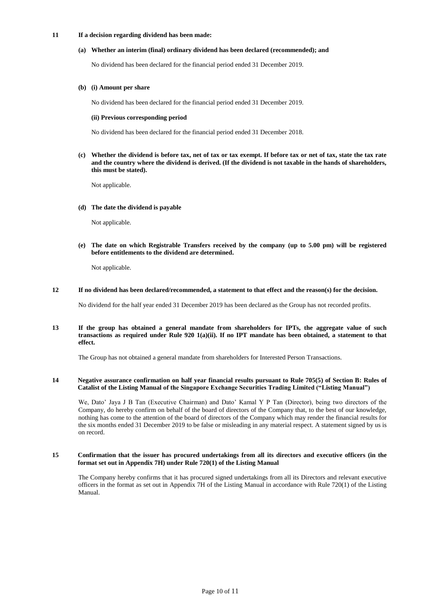# **11 If a decision regarding dividend has been made:**

#### **(a) Whether an interim (final) ordinary dividend has been declared (recommended); and**

No dividend has been declared for the financial period ended 31 December 2019.

#### **(b) (i) Amount per share**

No dividend has been declared for the financial period ended 31 December 2019.

### **(ii) Previous corresponding period**

No dividend has been declared for the financial period ended 31 December 2018.

**(c) Whether the dividend is before tax, net of tax or tax exempt. If before tax or net of tax, state the tax rate and the country where the dividend is derived. (If the dividend is not taxable in the hands of shareholders, this must be stated).**

Not applicable.

### **(d) The date the dividend is payable**

Not applicable.

**(e) The date on which Registrable Transfers received by the company (up to 5.00 pm) will be registered before entitlements to the dividend are determined.**

Not applicable.

# **12 If no dividend has been declared/recommended, a statement to that effect and the reason(s) for the decision.**

No dividend for the half year ended 31 December 2019 has been declared as the Group has not recorded profits.

# **13 If the group has obtained a general mandate from shareholders for IPTs, the aggregate value of such transactions as required under Rule 920 1(a)(ii). If no IPT mandate has been obtained, a statement to that effect.**

The Group has not obtained a general mandate from shareholders for Interested Person Transactions.

## **14 Negative assurance confirmation on half year financial results pursuant to Rule 705(5) of Section B: Rules of Catalist of the Listing Manual of the Singapore Exchange Securities Trading Limited ("Listing Manual")**

We, Dato' Jaya J B Tan (Executive Chairman) and Dato' Kamal Y P Tan (Director), being two directors of the Company, do hereby confirm on behalf of the board of directors of the Company that, to the best of our knowledge, nothing has come to the attention of the board of directors of the Company which may render the financial results for the six months ended 31 December 2019 to be false or misleading in any material respect. A statement signed by us is on record.

### **15 Confirmation that the issuer has procured undertakings from all its directors and executive officers (in the format set out in Appendix 7H) under Rule 720(1) of the Listing Manual**

The Company hereby confirms that it has procured signed undertakings from all its Directors and relevant executive officers in the format as set out in Appendix 7H of the Listing Manual in accordance with Rule 720(1) of the Listing Manual.